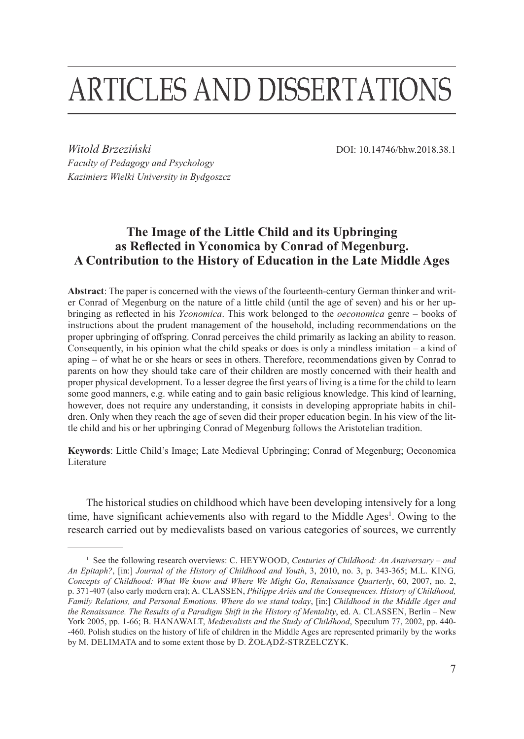# **ARTICLES AND DISSERTATIONS**

*Witold Brzeziński* DOI: 10.14746/bhw.2018.38.1 *Faculty of Pedagogy and Psychology Kazimierz Wielki University in Bydgoszcz*

## **The Image of the Little Child and its Upbringing as Reflected in Yconomica by Conrad of Megenburg. A Contribution to the History of Education in the Late Middle Ages**

**Abstract**: The paper is concerned with the views of the fourteenth-century German thinker and writer Conrad of Megenburg on the nature of a little child (until the age of seven) and his or her upbringing as reflected in his *Yconomica*. This work belonged to the *oeconomica* genre – books of instructions about the prudent management of the household, including recommendations on the proper upbringing of offspring. Conrad perceives the child primarily as lacking an ability to reason. Consequently, in his opinion what the child speaks or does is only a mindless imitation – a kind of aping – of what he or she hears or sees in others. Therefore, recommendations given by Conrad to parents on how they should take care of their children are mostly concerned with their health and proper physical development. To a lesser degree the first years of living is a time for the child to learn some good manners, e.g. while eating and to gain basic religious knowledge. This kind of learning, however, does not require any understanding, it consists in developing appropriate habits in children. Only when they reach the age of seven did their proper education begin. In his view of the little child and his or her upbringing Conrad of Megenburg follows the Aristotelian tradition.

**Keywords**: Little Child's Image; Late Medieval Upbringing; Conrad of Megenburg; Oeconomica Literature

The historical studies on childhood which have been developing intensively for a long time, have significant achievements also with regard to the Middle Ages<sup>1</sup>. Owing to the research carried out by medievalists based on various categories of sources, we currently

<sup>&</sup>lt;sup>1</sup> See the following research overviews: C. HEYWOOD, *Centuries of Childhood: An Anniversary – and An Epitaph?*, [in:] *Journal of the History of Childhood and Youth*, 3, 2010, no. 3, p. 343-365; M.L. King*, Concepts of Childhood: What We know and Where We Might Go*, *Renaissance Quarterly*, 60, 2007, no. 2, p. 371-407 (also early modern era); A. Classen, *Philippe Ariès and the Consequences. History of Childhood, Family Relations, and Personal Emotions. Where do we stand today*, [in:] *Childhood in the Middle Ages and the Renaissance. The Results of a Paradigm Shift in the History of Mentality*, ed. A. CLASSEN, Berlin – New York 2005, pp. 1-66; B. HANAWALT, *Medievalists and the Study of Childhood*, Speculum 77, 2002, pp. 440--460. Polish studies on the history of life of children in the Middle Ages are represented primarily by the works by M. DELIMATA and to some extent those by D. ŻOŁĄDŻ-STRZELCZYK.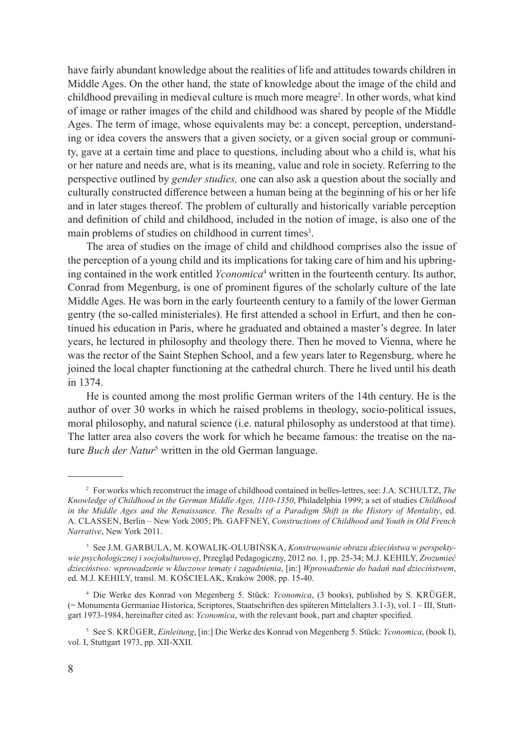have fairly abundant knowledge about the realities of life and attitudes towards children in Middle Ages. On the other hand, the state of knowledge about the image of the child and childhood prevailing in medieval culture is much more meagre<sup>2</sup>. In other words, what kind of image or rather images of the child and childhood was shared by people of the Middle Ages. The term of image, whose equivalents may be: a concept, perception, understanding or idea covers the answers that a given society, or a given social group or community, gave at a certain time and place to questions, including about who a child is, what his or her nature and needs are, what is its meaning, value and role in society. Referring to the perspective outlined by *gender studies,* one can also ask a question about the socially and culturally constructed difference between a human being at the beginning of his or her life and in later stages thereof. The problem of culturally and historically variable perception and definition of child and childhood, included in the notion of image, is also one of the main problems of studies on childhood in current times<sup>3</sup>.

The area of studies on the image of child and childhood comprises also the issue of the perception of a young child and its implications for taking care of him and his upbringing contained in the work entitled *Yconomica*<sup>4</sup> written in the fourteenth century. Its author, Conrad from Megenburg, is one of prominent figures of the scholarly culture of the late Middle Ages. He was born in the early fourteenth century to a family of the lower German gentry (the so-called ministeriales). He first attended a school in Erfurt, and then he continued his education in Paris, where he graduated and obtained a master's degree. In later years, he lectured in philosophy and theology there. Then he moved to Vienna, where he was the rector of the Saint Stephen School, and a few years later to Regensburg, where he joined the local chapter functioning at the cathedral church. There he lived until his death in 1374.

He is counted among the most prolific German writers of the 14th century. He is the author of over 30 works in which he raised problems in theology, socio-political issues, moral philosophy, and natural science (i.e. natural philosophy as understood at that time). The latter area also covers the work for which he became famous: the treatise on the nature *Buch der Natur<sup>5</sup>* written in the old German language.

<sup>&</sup>lt;sup>2</sup> For works which reconstruct the image of childhood contained in belles-lettres, see: J.A. SCHULTZ, *The Knowledge of Childhood in the German Middle Ages, 1110-1350*, Philadelphia 1999; a set of studies *Childhood in the Middle Ages and the Renaissance. The Results of a Paradigm Shift in the History of Mentality*, ed. A. Classen, Berlin – New York 2005; Ph. Gaffney, *Constructions of Childhood and Youth in Old French Narrative*, New York 2011.

<sup>&</sup>lt;sup>3</sup> See J.M. GARBULA, M. KOWALIK-OLUBIŃSKA, *Konstruowanie obrazu dzieciństwa w perspektywie psychologicznej i socjokulturowej*, Przegląd Pedagogiczny, 2012 no. 1, pp. 25-34; M.J. Kehily, *Zrozumieć dzieciństwo: wprowadzenie w kluczowe tematy i zagadnienia*, [in:] *Wprowadzenie do badań nad dzieciństwem*, ed. M.J. Kehily, transl. M. Kościelak, Kraków 2008, pp. 15-40.

<sup>4</sup> Die Werke des Konrad von Megenberg 5. Stück: *Yconomica*, (3 books), published by S. Krüger, (= Monumenta Germaniae Historica, Scriptores, Staatschriften des späteren Mittelalters 3.1-3), vol. I – III, Stuttgart 1973-1984, hereinafter cited as: *Yconomica*, with the relevant book, part and chapter specified.

<sup>5</sup> See S. Krüger, *Einleitung*, [in:] Die Werke des Konrad von Megenberg 5. Stück: *Yconomica*, (book I), vol. I, Stuttgart 1973, pp. XII-XXII.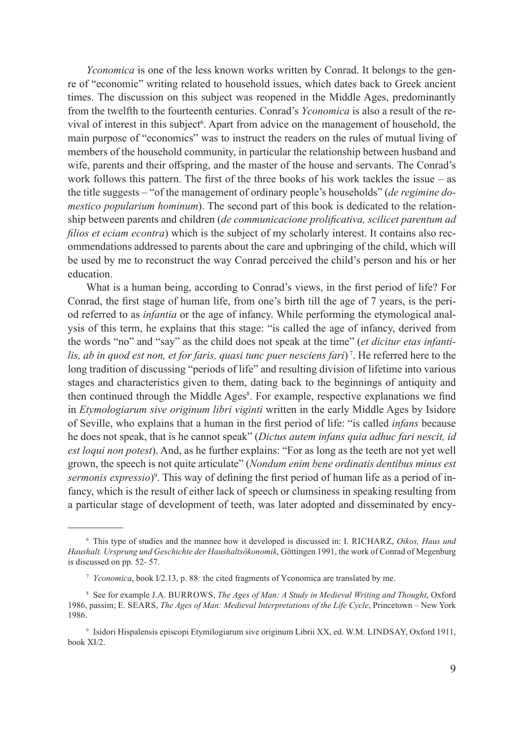*Yconomica* is one of the less known works written by Conrad. It belongs to the genre of "economic" writing related to household issues, which dates back to Greek ancient times. The discussion on this subject was reopened in the Middle Ages, predominantly from the twelfth to the fourteenth centuries. Conrad's *Yconomica* is also a result of the revival of interest in this subject<sup>6</sup>. Apart from advice on the management of household, the main purpose of "economics" was to instruct the readers on the rules of mutual living of members of the household community, in particular the relationship between husband and wife, parents and their offspring, and the master of the house and servants. The Conrad's work follows this pattern. The first of the three books of his work tackles the issue  $-$  as the title suggests – "of the management of ordinary people's households" (*de regimine domestico popularium hominum*). The second part of this book is dedicated to the relationship between parents and children (*de communicacione prolificativa, scilicet parentum ad filios et eciam econtra*) which is the subject of my scholarly interest. It contains also recommendations addressed to parents about the care and upbringing of the child, which will be used by me to reconstruct the way Conrad perceived the child's person and his or her education.

What is a human being, according to Conrad's views, in the first period of life? For Conrad, the first stage of human life, from one's birth till the age of 7 years, is the period referred to as *infantia* or the age of infancy. While performing the etymological analysis of this term, he explains that this stage: "is called the age of infancy, derived from the words "no" and "say" as the child does not speak at the time" (*et dicitur etas infantilis, ab in quod est non, et for faris, quasi tunc puer nesciens fari*) 7. He referred here to the long tradition of discussing "periods of life" and resulting division of lifetime into various stages and characteristics given to them, dating back to the beginnings of antiquity and then continued through the Middle Ages<sup>8</sup>. For example, respective explanations we find in *Etymologiarum sive originum libri viginti* written in the early Middle Ages by Isidore of Seville, who explains that a human in the first period of life: "is called *infans* because he does not speak, that is he cannot speak" (*Dictus autem infans quia adhuc fari nescit, id est loqui non potest*). And, as he further explains: "For as long as the teeth are not yet well grown, the speech is not quite articulate" (*Nondum enim bene ordinatis dentibus minus est*  sermonis expressio)<sup>9</sup>. This way of defining the first period of human life as a period of infancy, which is the result of either lack of speech or clumsiness in speaking resulting from a particular stage of development of teeth, was later adopted and disseminated by ency-

<sup>6</sup> This type of studies and the mannee how it developed is discussed in: I. Richarz, *Oikos, Haus und Haushalt. Ursprung und Geschichte der Haushaltsökonomik*, Göttingen 1991, the work of Conrad of Megenburg is discussed on pp. 52- 57.

<sup>7</sup> *Yconomica*, book I/2.13, p. 88*:* the cited fragments of Yconomica are translated by me.

<sup>&</sup>lt;sup>8</sup> See for example J.A. BURROWS, *The Ages of Man: A Study in Medieval Writing and Thought*, Oxford 1986, passim; E. Sears, *The Ages of Man: Medieval Interpretations of the Life Cycle*, Princetown – New York 1986.

<sup>&</sup>lt;sup>9</sup> Isidori Hispalensis episcopi Etymilogiarum sive originum Librii XX, ed. W.M. LINDSAY, Oxford 1911, book XI/2.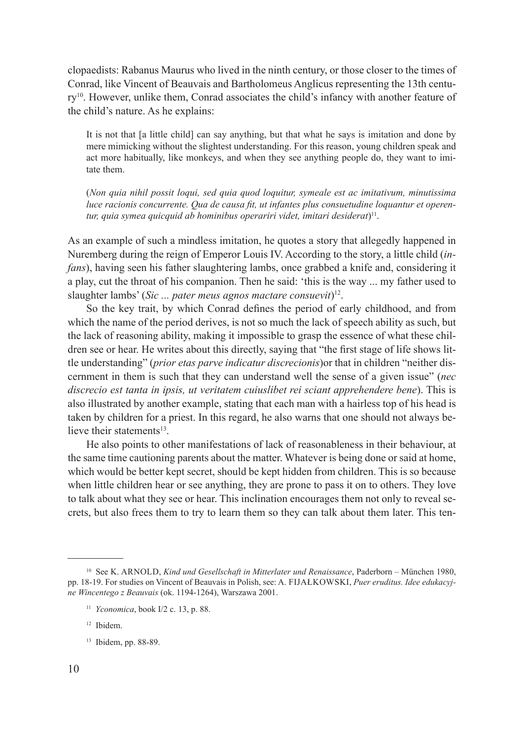clopaedists: Rabanus Maurus who lived in the ninth century, or those closer to the times of Conrad, like Vincent of Beauvais and Bartholomeus Anglicus representing the 13th century10. However, unlike them, Conrad associates the child's infancy with another feature of the child's nature. As he explains:

It is not that [a little child] can say anything, but that what he says is imitation and done by mere mimicking without the slightest understanding. For this reason, young children speak and act more habitually, like monkeys, and when they see anything people do, they want to imitate them.

(*Non quia nihil possit loqui, sed quia quod loquitur, symeale est ac imitativum, minutissima luce racionis concurrente. Qua de causa fit, ut infantes plus consuetudine loquantur et operentur, quia symea quicquid ab hominibus operariri videt, imitari desiderat*) 11.

As an example of such a mindless imitation, he quotes a story that allegedly happened in Nuremberg during the reign of Emperor Louis IV. According to the story, a little child (*infans*), having seen his father slaughtering lambs, once grabbed a knife and, considering it a play, cut the throat of his companion. Then he said: 'this is the way ... my father used to slaughter lambs' (*Sic ... pater meus agnos mactare consuevit*)12.

So the key trait, by which Conrad defines the period of early childhood, and from which the name of the period derives, is not so much the lack of speech ability as such, but the lack of reasoning ability, making it impossible to grasp the essence of what these children see or hear. He writes about this directly, saying that "the first stage of life shows little understanding" (*prior etas parve indicatur discrecionis*)or that in children "neither discernment in them is such that they can understand well the sense of a given issue" (*nec discrecio est tanta in ipsis, ut veritatem cuiuslibet rei sciant apprehendere bene*). This is also illustrated by another example, stating that each man with a hairless top of his head is taken by children for a priest. In this regard, he also warns that one should not always believe their statements $13$ .

He also points to other manifestations of lack of reasonableness in their behaviour, at the same time cautioning parents about the matter. Whatever is being done or said at home, which would be better kept secret, should be kept hidden from children. This is so because when little children hear or see anything, they are prone to pass it on to others. They love to talk about what they see or hear. This inclination encourages them not only to reveal secrets, but also frees them to try to learn them so they can talk about them later. This ten-

<sup>&</sup>lt;sup>10</sup> See K. ARNOLD, *Kind und Gesellschaft in Mitterlater und Renaissance*, Paderborn – München 1980, pp. 18-19. For studies on Vincent of Beauvais in Polish, see: A. FIJAŁKOWSKI, Puer eruditus. Idee edukacyj*ne Wincentego z Beauvais* (ok. 1194-1264), Warszawa 2001.

<sup>11</sup> *Yconomica*, book I/2 c. 13, p. 88.

<sup>12</sup> Ibidem.

<sup>13</sup> Ibidem, pp. 88-89.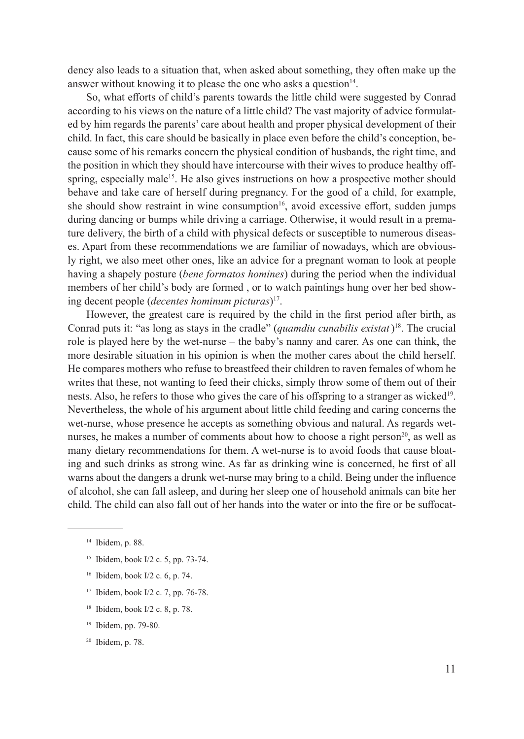dency also leads to a situation that, when asked about something, they often make up the answer without knowing it to please the one who asks a question $14$ .

So, what efforts of child's parents towards the little child were suggested by Conrad according to his views on the nature of a little child? The vast majority of advice formulated by him regards the parents' care about health and proper physical development of their child. In fact, this care should be basically in place even before the child's conception, because some of his remarks concern the physical condition of husbands, the right time, and the position in which they should have intercourse with their wives to produce healthy offspring, especially male<sup>15</sup>. He also gives instructions on how a prospective mother should behave and take care of herself during pregnancy. For the good of a child, for example, she should show restraint in wine consumption<sup>16</sup>, avoid excessive effort, sudden jumps during dancing or bumps while driving a carriage. Otherwise, it would result in a premature delivery, the birth of a child with physical defects or susceptible to numerous diseases. Apart from these recommendations we are familiar of nowadays, which are obviously right, we also meet other ones, like an advice for a pregnant woman to look at people having a shapely posture (*bene formatos homines*) during the period when the individual members of her child's body are formed , or to watch paintings hung over her bed showing decent people (*decentes hominum picturas*)17.

However, the greatest care is required by the child in the first period after birth, as Conrad puts it: "as long as stays in the cradle" (*quamdiu cunabilis existat*)18. The crucial role is played here by the wet-nurse – the baby's nanny and carer. As one can think, the more desirable situation in his opinion is when the mother cares about the child herself. He compares mothers who refuse to breastfeed their children to raven females of whom he writes that these, not wanting to feed their chicks, simply throw some of them out of their nests. Also, he refers to those who gives the care of his offspring to a stranger as wicked19. Nevertheless, the whole of his argument about little child feeding and caring concerns the wet-nurse, whose presence he accepts as something obvious and natural. As regards wetnurses, he makes a number of comments about how to choose a right person<sup>20</sup>, as well as many dietary recommendations for them. A wet-nurse is to avoid foods that cause bloating and such drinks as strong wine. As far as drinking wine is concerned, he first of all warns about the dangers a drunk wet-nurse may bring to a child. Being under the influence of alcohol, she can fall asleep, and during her sleep one of household animals can bite her child. The child can also fall out of her hands into the water or into the fire or be suffocat-

- <sup>15</sup> Ibidem, book I/2 c. 5, pp. 73-74.
- <sup>16</sup> Ibidem, book I/2 c. 6, p. 74.
- <sup>17</sup> Ibidem, book I/2 c. 7, pp. 76-78.
- <sup>18</sup> Ibidem, book I/2 c. 8, p. 78.
- <sup>19</sup> Ibidem, pp. 79-80.
- <sup>20</sup> Ibidem, p. 78.

<sup>14</sup> Ibidem, p. 88.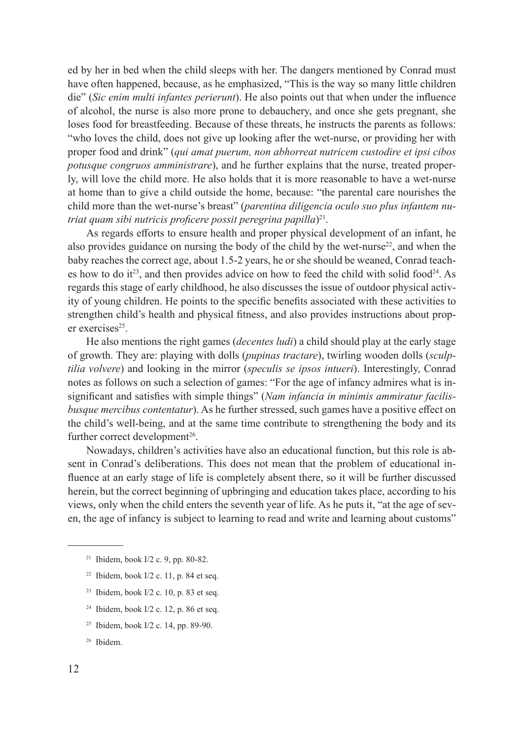ed by her in bed when the child sleeps with her. The dangers mentioned by Conrad must have often happened, because, as he emphasized, "This is the way so many little children die" (*Sic enim multi infantes perierunt*). He also points out that when under the influence of alcohol, the nurse is also more prone to debauchery, and once she gets pregnant, she loses food for breastfeeding. Because of these threats, he instructs the parents as follows: "who loves the child, does not give up looking after the wet-nurse, or providing her with proper food and drink" (*qui amat puerum, non abhorreat nutricem custodire et ipsi cibos potusque congruos amministrare*), and he further explains that the nurse, treated properly, will love the child more. He also holds that it is more reasonable to have a wet-nurse at home than to give a child outside the home, because: "the parental care nourishes the child more than the wet-nurse's breast" (*parentina diligencia oculo suo plus infantem nutriat quam sibi nutricis proficere possit peregrina papilla*)<sup>21</sup>.

As regards efforts to ensure health and proper physical development of an infant, he also provides guidance on nursing the body of the child by the wet-nurse<sup>22</sup>, and when the baby reaches the correct age, about 1.5-2 years, he or she should be weaned, Conrad teaches how to do it<sup>23</sup>, and then provides advice on how to feed the child with solid food<sup>24</sup>. As regards this stage of early childhood, he also discusses the issue of outdoor physical activity of young children. He points to the specific benefits associated with these activities to strengthen child's health and physical fitness, and also provides instructions about proper exercises $25$ .

He also mentions the right games (*decentes ludi*) a child should play at the early stage of growth. They are: playing with dolls (*pupinas tractare*), twirling wooden dolls (*sculptilia volvere*) and looking in the mirror (*speculis se ipsos intueri*). Interestingly, Conrad notes as follows on such a selection of games: "For the age of infancy admires what is insignificant and satisfies with simple things" (*Nam infancia in minimis ammiratur facilisbusque mercibus contentatur*). As he further stressed, such games have a positive effect on the child's well-being, and at the same time contribute to strengthening the body and its further correct development<sup>26</sup>.

Nowadays, children's activities have also an educational function, but this role is absent in Conrad's deliberations. This does not mean that the problem of educational influence at an early stage of life is completely absent there, so it will be further discussed herein, but the correct beginning of upbringing and education takes place, according to his views, only when the child enters the seventh year of life. As he puts it, "at the age of seven, the age of infancy is subject to learning to read and write and learning about customs"

- $22$  Ibidem, book I/2 c. 11, p. 84 et seq.
- <sup>23</sup> Ibidem, book I/2 c. 10, p. 83 et seq.
- $24$  Ibidem, book I/2 c. 12, p. 86 et seq.
- <sup>25</sup> Ibidem, book I/2 c. 14, pp. 89-90.

<sup>21</sup> Ibidem, book I/2 c. 9, pp. 80-82.

<sup>26</sup> Ibidem.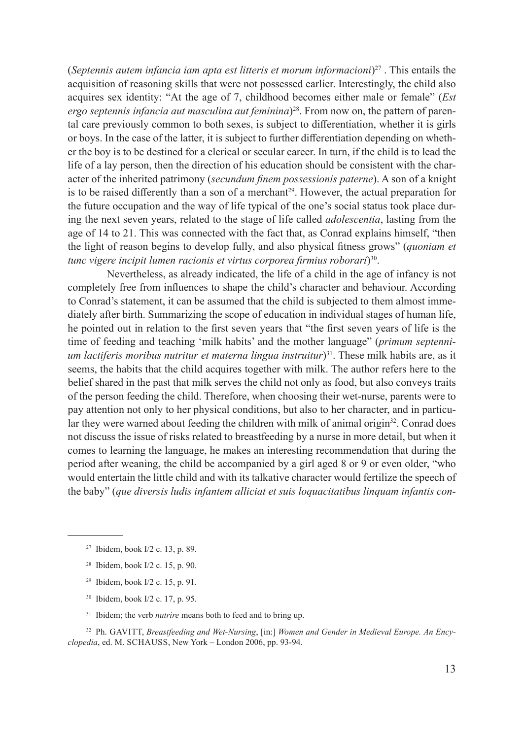(*Septennis autem infancia iam apta est litteris et morum informacioni*) 27 . This entails the acquisition of reasoning skills that were not possessed earlier. Interestingly, the child also acquires sex identity: "At the age of 7, childhood becomes either male or female" (*Est ergo septennis infancia aut masculina aut feminina*) 28. From now on, the pattern of parental care previously common to both sexes, is subject to differentiation, whether it is girls or boys. In the case of the latter, it is subject to further differentiation depending on whether the boy is to be destined for a clerical or secular career. In turn, if the child is to lead the life of a lay person, then the direction of his education should be consistent with the character of the inherited patrimony (*secundum finem possessionis paterne*). A son of a knight is to be raised differently than a son of a merchant<sup>29</sup>. However, the actual preparation for the future occupation and the way of life typical of the one's social status took place during the next seven years, related to the stage of life called *adolescentia*, lasting from the age of 14 to 21. This was connected with the fact that, as Conrad explains himself, "then the light of reason begins to develop fully, and also physical fitness grows" (*quoniam et tunc vigere incipit lumen racionis et virtus corporea firmius roborari*)30.

 Nevertheless, as already indicated, the life of a child in the age of infancy is not completely free from influences to shape the child's character and behaviour. According to Conrad's statement, it can be assumed that the child is subjected to them almost immediately after birth. Summarizing the scope of education in individual stages of human life, he pointed out in relation to the first seven years that "the first seven years of life is the time of feeding and teaching 'milk habits' and the mother language" (*primum septennium lactiferis moribus nutritur et materna lingua instruitur*) 31. These milk habits are, as it seems, the habits that the child acquires together with milk. The author refers here to the belief shared in the past that milk serves the child not only as food, but also conveys traits of the person feeding the child. Therefore, when choosing their wet-nurse, parents were to pay attention not only to her physical conditions, but also to her character, and in particular they were warned about feeding the children with milk of animal origin<sup>32</sup>. Conrad does not discuss the issue of risks related to breastfeeding by a nurse in more detail, but when it comes to learning the language, he makes an interesting recommendation that during the period after weaning, the child be accompanied by a girl aged 8 or 9 or even older, "who would entertain the little child and with its talkative character would fertilize the speech of the baby" (*que diversis ludis infantem alliciat et suis loquacitatibus linquam infantis con-*

- <sup>27</sup> Ibidem, book I/2 c. 13, p. 89.
- <sup>28</sup> Ibidem, book I/2 c. 15, p. 90.
- <sup>29</sup> Ibidem, book I/2 c. 15, p. 91.
- <sup>30</sup> Ibidem, book I/2 c. 17, p. 95.
- <sup>31</sup> Ibidem; the verb *nutrire* means both to feed and to bring up.

<sup>32</sup> Ph. GAVITT, *Breastfeeding and Wet-Nursing*, [in:] Women and Gender in Medieval Europe. An Ency*clopedia*, ed. M. SCHAUSS, New York – London 2006, pp. 93-94.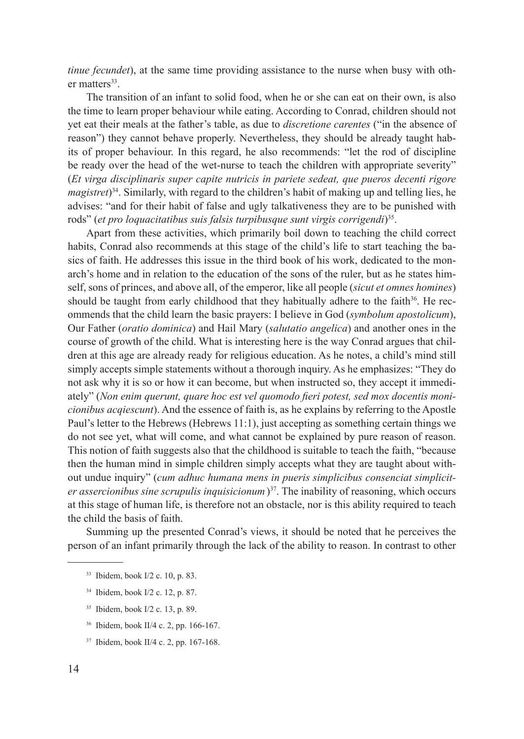*tinue fecundet*), at the same time providing assistance to the nurse when busy with other matters<sup>33</sup>.

The transition of an infant to solid food, when he or she can eat on their own, is also the time to learn proper behaviour while eating. According to Conrad, children should not yet eat their meals at the father's table, as due to *discretione carentes* ("in the absence of reason") they cannot behave properly. Nevertheless, they should be already taught habits of proper behaviour. In this regard, he also recommends: "let the rod of discipline be ready over the head of the wet-nurse to teach the children with appropriate severity" (*Et virga disciplinaris super capite nutricis in pariete sedeat, que pueros decenti rigore magistret*) 34. Similarly, with regard to the children's habit of making up and telling lies, he advises: "and for their habit of false and ugly talkativeness they are to be punished with rods" (*et pro loquacitatibus suis falsis turpibusque sunt virgis corrigendi*) 35.

Apart from these activities, which primarily boil down to teaching the child correct habits, Conrad also recommends at this stage of the child's life to start teaching the basics of faith. He addresses this issue in the third book of his work, dedicated to the monarch's home and in relation to the education of the sons of the ruler, but as he states himself, sons of princes, and above all, of the emperor, like all people (*sicut et omnes homines*) should be taught from early childhood that they habitually adhere to the faith $36$ . He recommends that the child learn the basic prayers: I believe in God (*symbolum apostolicum*), Our Father (*oratio dominica*) and Hail Mary (*salutatio angelica*) and another ones in the course of growth of the child. What is interesting here is the way Conrad argues that children at this age are already ready for religious education. As he notes, a child's mind still simply accepts simple statements without a thorough inquiry. As he emphasizes: "They do not ask why it is so or how it can become, but when instructed so, they accept it immediately" (*Non enim querunt, quare hoc est vel quomodo fieri potest, sed mox docentis monicionibus acqiescunt*). And the essence of faith is, as he explains by referring to the Apostle Paul's letter to the Hebrews (Hebrews 11:1), just accepting as something certain things we do not see yet, what will come, and what cannot be explained by pure reason of reason. This notion of faith suggests also that the childhood is suitable to teach the faith, "because then the human mind in simple children simply accepts what they are taught about without undue inquiry" (*cum adhuc humana mens in pueris simplicibus consenciat simpliciter assercionibus sine scrupulis inquisicionum*)<sup>37</sup>. The inability of reasoning, which occurs at this stage of human life, is therefore not an obstacle, nor is this ability required to teach the child the basis of faith.

Summing up the presented Conrad's views, it should be noted that he perceives the person of an infant primarily through the lack of the ability to reason. In contrast to other

- <sup>34</sup> Ibidem, book I/2 c. 12, p. 87.
- <sup>35</sup> Ibidem, book I/2 c. 13, p. 89.
- <sup>36</sup> Ibidem, book II/4 c. 2, pp. 166-167.
- <sup>37</sup> Ibidem, book II/4 c. 2, pp. 167-168.

<sup>33</sup> Ibidem, book I/2 c. 10, p. 83.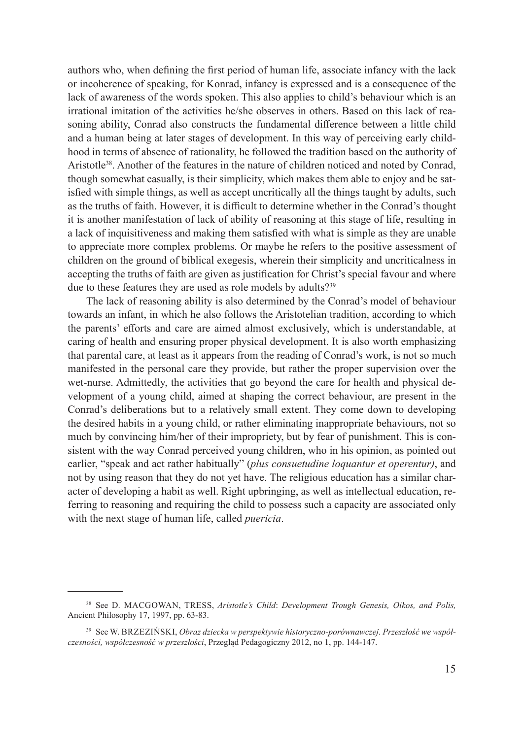authors who, when defining the first period of human life, associate infancy with the lack or incoherence of speaking, for Konrad, infancy is expressed and is a consequence of the lack of awareness of the words spoken. This also applies to child's behaviour which is an irrational imitation of the activities he/she observes in others. Based on this lack of reasoning ability, Conrad also constructs the fundamental difference between a little child and a human being at later stages of development. In this way of perceiving early childhood in terms of absence of rationality, he followed the tradition based on the authority of Aristotle38. Another of the features in the nature of children noticed and noted by Conrad, though somewhat casually, is their simplicity, which makes them able to enjoy and be satisfied with simple things, as well as accept uncritically all the things taught by adults, such as the truths of faith. However, it is difficult to determine whether in the Conrad's thought it is another manifestation of lack of ability of reasoning at this stage of life, resulting in a lack of inquisitiveness and making them satisfied with what is simple as they are unable to appreciate more complex problems. Or maybe he refers to the positive assessment of children on the ground of biblical exegesis, wherein their simplicity and uncriticalness in accepting the truths of faith are given as justification for Christ's special favour and where due to these features they are used as role models by adults?<sup>39</sup>

The lack of reasoning ability is also determined by the Conrad's model of behaviour towards an infant, in which he also follows the Aristotelian tradition, according to which the parents' efforts and care are aimed almost exclusively, which is understandable, at caring of health and ensuring proper physical development. It is also worth emphasizing that parental care, at least as it appears from the reading of Conrad's work, is not so much manifested in the personal care they provide, but rather the proper supervision over the wet-nurse. Admittedly, the activities that go beyond the care for health and physical development of a young child, aimed at shaping the correct behaviour, are present in the Conrad's deliberations but to a relatively small extent. They come down to developing the desired habits in a young child, or rather eliminating inappropriate behaviours, not so much by convincing him/her of their impropriety, but by fear of punishment. This is consistent with the way Conrad perceived young children, who in his opinion, as pointed out earlier, "speak and act rather habitually" (*plus consuetudine loquantur et operentur)*, and not by using reason that they do not yet have. The religious education has a similar character of developing a habit as well. Right upbringing, as well as intellectual education, referring to reasoning and requiring the child to possess such a capacity are associated only with the next stage of human life, called *puericia*.

<sup>38</sup> See D. MacGowan, Tress, *Aristotle's Child*: *Development Trough Genesis, Oikos, and Polis,*  Ancient Philosophy 17, 1997, pp. 63-83.

<sup>39</sup> See W. Brzeziński, *Obraz dziecka w perspektywie historyczno-porównawczej. Przeszłość we współczesności, współczesność w przeszłości*, Przegląd Pedagogiczny 2012, no 1, pp. 144-147.